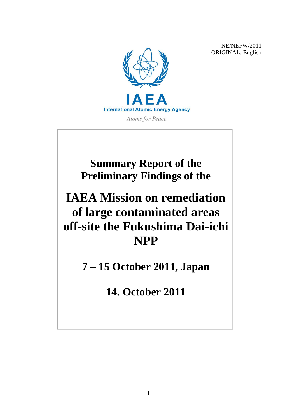NE/NEFW/2011 ORIGINAL: English



**Atoms for Peace** 

**Summary Report of the Preliminary Findings of the**

# **IAEA Mission on remediation of large contaminated areas off-site the Fukushima Dai-ichi NPP**

**7 – 15 October 2011, Japan**

**14. October 2011**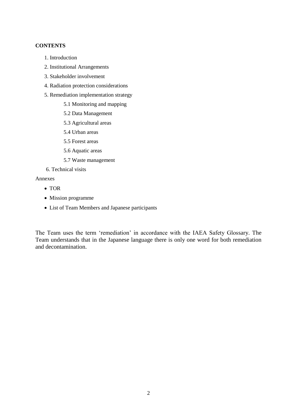# **CONTENTS**

- 1. Introduction
- 2. Institutional Arrangements
- 3. Stakeholder involvement
- 4. Radiation protection considerations
- 5. Remediation implementation strategy
	- 5.1 Monitoring and mapping
	- 5.2 Data Management
	- 5.3 Agricultural areas
	- 5.4 Urban areas
	- 5.5 Forest areas
	- 5.6 Aquatic areas
	- 5.7 Waste management
- 6. Technical visits

Annexes

- TOR
- Mission programme
- List of Team Members and Japanese participants

The Team uses the term "remediation" in accordance with the IAEA Safety Glossary. The Team understands that in the Japanese language there is only one word for both remediation and decontamination.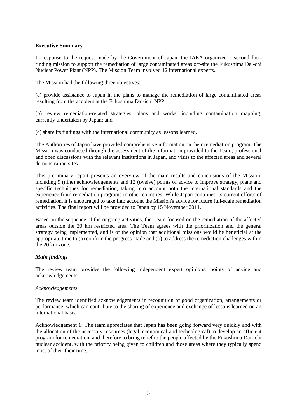# **Executive Summary**

In response to the request made by the Government of Japan, the IAEA organized a second factfinding mission to support the remediation of large contaminated areas off-site the Fukushima Dai-chi Nuclear Power Plant (NPP). The Mission Team involved 12 international experts.

The Mission had the following three objectives:

(a) provide assistance to Japan in the plans to manage the remediation of large contaminated areas resulting from the accident at the Fukushima Dai-ichi NPP;

(b) review remediation-related strategies, plans and works, including contamination mapping, currently undertaken by Japan; and

(c) share its findings with the international community as lessons learned.

The Authorities of Japan have provided comprehensive information on their remediation program. The Mission was conducted through the assessment of the information provided to the Team, professional and open discussions with the relevant institutions in Japan, and visits to the affected areas and several demonstration sites.

This preliminary report presents an overview of the main results and conclusions of the Mission, including 9 (nine) acknowledgements and 12 (twelve) points of advice to improve strategy, plans and specific techniques for remediation, taking into account both the international standards and the experience from remediation programs in other countries. While Japan continues its current efforts of remediation, it is encouraged to take into account the Mission's advice for future full-scale remediation activities. The final report will be provided to Japan by 15 November 2011.

Based on the sequence of the ongoing activities, the Team focused on the remediation of the affected areas outside the 20 km restricted area. The Team agrees with the prioritization and the general strategy being implemented, and is of the opinion that additional missions would be beneficial at the appropriate time to (a) confirm the progress made and (b) to address the remediation challenges within the 20 km zone.

# *Main findings*

The review team provides the following independent expert opinions, points of advice and acknowledgements.

# *Acknowledgements*

The review team identified acknowledgements in recognition of good organization, arrangements or performance, which can contribute to the sharing of experience and exchange of lessons learned on an international basis.

Acknowledgement 1: The team appreciates that Japan has been going forward very quickly and with the allocation of the necessary resources (legal, economical and technological) to develop an efficient program for remediation, and therefore to bring relief to the people affected by the Fukushima Dai-ichi nuclear accident, with the priority being given to children and those areas where they typically spend most of their their time.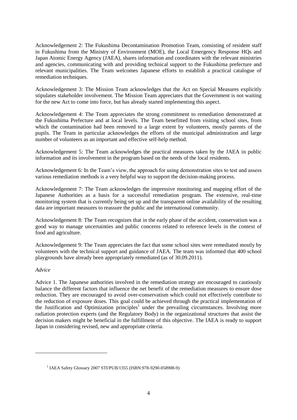Acknowledgement 2: The Fukushima Decontamination Promotion Team, consisting of resident staff in Fukushima from the Ministry of Environment (MOE), the Local Emergency Response HQs and Japan Atomic Energy Agency (JAEA), shares information and coordinates with the relevant ministries and agencies, communicating with and providing technical support to the Fukushima prefecture and relevant municipalities. The Team welcomes Japanese efforts to establish a practical catalogue of remediation techniques.

Acknowledgement 3: The Mission Team acknowledges that the Act on Special Measures explicitly stipulates stakeholder involvement. The Mission Team appreciates that the Government is not waiting for the new Act to come into force, but has already started implementing this aspect.

Acknowledgement 4: The Team appreciates the strong commitment to remediation demonstrated at the Fukushima Prefecture and at local levels. The Team benefitted from visiting school sites, from which the contamination had been removed to a large extent by volunteers, mostly parents of the pupils. The Team in particular acknowledges the efforts of the municipal administration and large number of volunteers as an important and effective self-help method.

Acknowledgement 5: The Team acknowledges the practical measures taken by the JAEA in public information and its involvement in the program based on the needs of the local residents.

Acknowledgement 6: In the Team"s view, the approach for using demonstration sites to test and assess various remediation methods is a very helpful way to support the decision-making process.

Acknowledgement 7: The Team acknowledges the impressive monitoring and mapping effort of the Japanese Authorities as a basis for a successful remediation program. The extensive, real-time monitoring system that is currently being set up and the transparent online availability of the resulting data are important measures to reassure the public and the international community.

Acknowledgement 8: The Team recognizes that in the early phase of the accident, conservatism was a good way to manage uncertainties and public concerns related to reference levels in the context of food and agriculture.

Acknowledgement 9: The Team appreciates the fact that some school sites were remediated mostly by volunteers with the technical support and guidance of JAEA. The team was informed that 400 school playgrounds have already been appropriately remediated (as of 30.09.2011).

# *Advice*

 $\overline{a}$ 

Advice 1. The Japanese authorities involved in the remediation strategy are encouraged to cautiously balance the different factors that influence the net benefit of the remediation measures to ensure dose reduction. They are encouraged to avoid over-conservatism which could not effectively contribute to the reduction of exposure doses. This goal could be achieved through the practical implementation of the Justification and Optimization principles<sup>1</sup> under the prevailing circumstances. Involving more radiation protection experts (and the Regulatory Body) in the organizational structures that assist the decision makers might be beneficial in the fulfillment of this objective. The IAEA is ready to support Japan in considering revised, new and appropriate criteria.

<sup>1</sup> IAEA Safety Glossary 2007 STI/PUB/1355 (ISBN:978-9290-058908-9)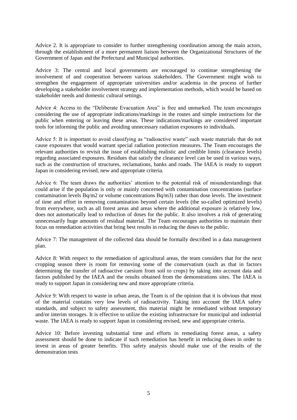Advice 2. It is appropriate to consider to further strengthening coordination among the main actors, through the establishment of a more permanent liaison between the Organizational Structures of the Government of Japan and the Prefectural and Municipal authorities.

Advice 3: The central and local governments are encouraged to continue strengthening the involvement of and cooperation between various stakeholders. The Government might wish to strengthen the engagement of appropriate universities and/or academia in the process of further developing a stakeholder involvement strategy and implementation methods, which would be based on stakeholder needs and domestic cultural settings.

Advice 4: Access to the "Deliberate Evacuation Area" is free and unmarked. The team encourages considering the use of appropriate indications/markings in the routes and simple instructions for the public when entering or leaving these areas. These indications/markings are considered important tools for informing the public and avoiding unnecessary radiation exposures to individuals.

Advice 5: It is important to avoid classifying as "radioactive waste" such waste materials that do not cause exposures that would warrant special radiation protection measures. The Team encourages the relevant authorities to revisit the issue of establishing realistic and credible limits (clearance levels) regarding associated exposures. Residues that satisfy the clearance level can be used in various ways, such as the construction of structures, reclamations, banks and roads. The IAEA is ready to support Japan in considering revised, new and appropriate criteria.

Advice 6: The team draws the authorities" attention to the potential risk of misunderstandings that could arise if the population is only or mainly concerned with contamination concentrations (surface contamination levels Bq/m2 or volume concentrations Bq/m3) rather than dose levels. The investment of time and effort in removing contamination beyond certain levels (the so-called optimized levels) from everywhere, such as all forest areas and areas where the additional exposure is relatively low, does not automatically lead to reduction of doses for the public. It also involves a risk of generating unnecessarily huge amounts of residual material. The Team encourages authorities to maintain their focus on remediation activities that bring best results in reducing the doses to the public.

Advice 7: The management of the collected data should be formally described in a data management plan.

Advice 8: With respect to the remediation of agricultural areas, the team considers that for the next cropping season there is room for removing some of the conservatism (such as that in factors determining the transfer of radioactive caesium from soil to crops) by taking into account data and factors published by the IAEA and the results obtained from the demonstrations sites. The IAEA is ready to support Japan in considering new and more appropriate criteria.

Advice 9: With respect to waste in urban areas, the Team is of the opinion that it is obvious that most of the material contains very low levels of radioactivity. Taking into account the IAEA safety standards, and subject to safety assessment, this material might be remediated without temporary and/or interim storages. It is effective to utilize the existing infrastructure for municipal and industrial waste. The IAEA is ready to support Japan in considering revised, new and appropriate criteria.

Advice 10: Before investing substantial time and efforts in remediating forest areas, a safety assessment should be done to indicate if such remediation has benefit in reducing doses in order to invest in areas of greater benefits. This safety analysis should make use of the results of the demonstration tests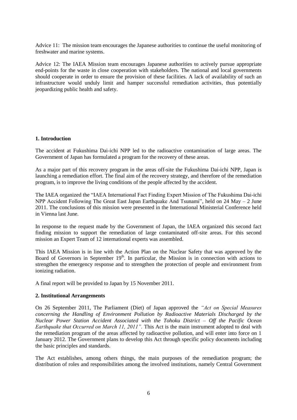Advice 11: The mission team encourages the Japanese authorities to continue the useful monitoring of freshwater and marine systems.

Advice 12: The IAEA Mission team encourages Japanese authorities to actively pursue appropriate end-points for the waste in close cooperation with stakeholders. The national and local governments should cooperate in order to ensure the provision of these facilities. A lack of availability of such an infrastructure would unduly limit and hamper successful remediation activities, thus potentially jeopardizing public health and safety.

# **1. Introduction**

The accident at Fukushima Dai-ichi NPP led to the radioactive contamination of large areas. The Government of Japan has formulated a program for the recovery of these areas.

As a major part of this recovery program in the areas off-site the Fukushima Dai-ichi NPP, Japan is launching a remediation effort. The final aim of the recovery strategy, and therefore of the remediation program, is to improve the living conditions of the people affected by the accident.

The IAEA organized the "IAEA International Fact Finding Expert Mission of The Fukushima Dai-ichi NPP Accident Following The Great East Japan Earthquake And Tsunami", held on 24 May – 2 June 2011. The conclusions of this mission were presented in the International Ministerial Conference held in Vienna last June.

In response to the request made by the Government of Japan, the IAEA organized this second fact finding mission to support the remediation of large contaminated off-site areas. For this second mission an Expert Team of 12 international experts was assembled.

This IAEA Mission is in line with the Action Plan on the Nuclear Safety that was approved by the Board of Governors in September  $19<sup>th</sup>$ . In particular, the Mission is in connection with actions to strengthen the emergency response and to strengthen the protection of people and environment from ionizing radiation.

A final report will be provided to Japan by 15 November 2011.

# **2. Institutional Arrangements**

On 26 September 2011, The Parliament (Diet) of Japan approved the *"Act on Special Measures concerning the Handling of Environment Pollution by Radioactive Materials Discharged by the Nuclear Power Station Accident Associated with the Tohoku District – Off the Pacific Ocean Earthquake that Occurred on March 11, 2011".* This Act is the main instrument adopted to deal with the remediation program of the areas affected by radioactive pollution, and will enter into force on 1 January 2012. The Government plans to develop this Act through specific policy documents including the basic principles and standards.

The Act establishes, among others things, the main purposes of the remediation program; the distribution of roles and responsibilities among the involved institutions, namely Central Government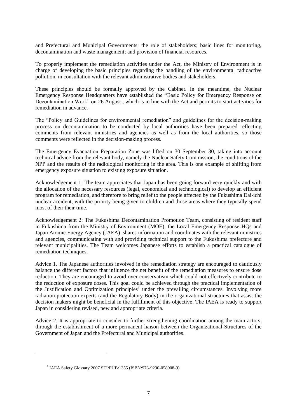and Prefectural and Municipal Governments; the role of stakeholders; basic lines for monitoring, decontamination and waste management; and provision of financial resources.

To properly implement the remediation activities under the Act, the Ministry of Environment is in charge of developing the basic principles regarding the handling of the environmental radioactive pollution, in consultation with the relevant administrative bodies and stakeholders.

These principles should be formally approved by the Cabinet. In the meantime, the Nuclear Emergency Response Headquarters have established the "Basic Policy for Emergency Response on Decontamination Work" on 26 August , which is in line with the Act and permits to start activities for remediation in advance.

The "Policy and Guidelines for environmental remediation" and guidelines for the decision-making process on decontamination to be conducted by local authorities have been prepared reflecting comments from relevant ministries and agencies as well as from the local authorities, so those comments were reflected in the decision-making process.

The Emergency Evacuation Preparation Zone was lifted on 30 September 30, taking into account technical advice from the relevant body, namely the Nuclear Safety Commission, the conditions of the NPP and the results of the radiological monitoring in the area. This is one example of shifting from emergency exposure situation to existing exposure situation.

Acknowledgement 1: The team appreciates that Japan has been going forward very quickly and with the allocation of the necessary resources (legal, economical and technological) to develop an efficient program for remediation, and therefore to bring relief to the people affected by the Fukushima Dai-ichi nuclear accident, with the priority being given to children and those areas where they typically spend most of their their time.

Acknowledgement 2: The Fukushima Decontamination Promotion Team, consisting of resident staff in Fukushima from the Ministry of Environment (MOE), the Local Emergency Response HQs and Japan Atomic Energy Agency (JAEA), shares information and coordinates with the relevant ministries and agencies, communicating with and providing technical support to the Fukushima prefecture and relevant municipalities. The Team welcomes Japanese efforts to establish a practical catalogue of remediation techniques.

Advice 1. The Japanese authorities involved in the remediation strategy are encouraged to cautiously balance the different factors that influence the net benefit of the remediation measures to ensure dose reduction. They are encouraged to avoid over-conservatism which could not effectively contribute to the reduction of exposure doses. This goal could be achieved through the practical implementation of the Justification and Optimization principles<sup>2</sup> under the prevailing circumstances. Involving more radiation protection experts (and the Regulatory Body) in the organizational structures that assist the decision makers might be beneficial in the fulfillment of this objective. The IAEA is ready to support Japan in considering revised, new and appropriate criteria.

Advice 2. It is appropriate to consider to further strengthening coordination among the main actors, through the establishment of a more permanent liaison between the Organizational Structures of the Government of Japan and the Prefectural and Municipal authorities.

 $\overline{a}$ 

<sup>2</sup> IAEA Safety Glossary 2007 STI/PUB/1355 (ISBN:978-9290-058908-9)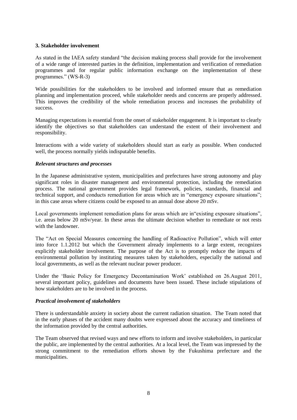# **3. Stakeholder involvement**

As stated in the IAEA safety standard "the decision making process shall provide for the involvement of a wide range of interested parties in the definition, implementation and verification of remediation programmes and for regular public information exchange on the implementation of these programmes." (WS-R-3)

Wide possibilities for the stakeholders to be involved and informed ensure that as remediation planning and implementation proceed, while stakeholder needs and concerns are properly addressed. This improves the credibility of the whole remediation process and increases the probability of success.

Managing expectations is essential from the onset of stakeholder engagement. It is important to clearly identify the objectives so that stakeholders can understand the extent of their involvement and responsibility.

Interactions with a wide variety of stakeholders should start as early as possible. When conducted well, the process normally yields indisputable benefits.

## *Relevant structures and processes*

In the Japanese administrative system, municipalities and prefectures have strong autonomy and play significant roles in disaster management and environmental protection, including the remediation process. The national government provides legal framework, policies, standards, financial and technical support, and conducts remediation for areas which are in "emergency exposure situations"; in this case areas where citizens could be exposed to an annual dose above 20 mSv.

Local governments implement remediation plans for areas which are in"existing exposure situations", i.e. areas below 20 mSv/year. In these areas the ultimate decision whether to remediate or not rests with the landowner.

The "Act on Special Measures concerning the handling of Radioactive Pollution", which will enter into force 1.1.2012 but which the Government already implements to a large extent, recognizes explicitly stakeholder involvement. The purpose of the Act is to promptly reduce the impacts of environmental pollution by instituting measures taken by stakeholders, especially the national and local governments, as well as the relevant nuclear power producer.

Under the "Basic Policy for Emergency Decontamination Work" established on 26.August 2011, several important policy, guidelines and documents have been issued. These include stipulations of how stakeholders are to be involved in the process.

#### *Practical involvement of stakeholders*

There is understandable anxiety in society about the current radiation situation. The Team noted that in the early phases of the accident many doubts were expressed about the accuracy and timeliness of the information provided by the central authorities.

The Team observed that revised ways and new efforts to inform and involve stakeholders, in particular the public, are implemented by the central authorities. At a local level, the Team was impressed by the strong commitment to the remediation efforts shown by the Fukushima prefecture and the municipalities.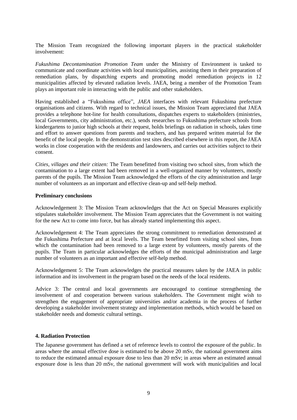The Mission Team recognized the following important players in the practical stakeholder involvement:

*Fukushima Decontamination Promotion Team* under the Ministry of Environment is tasked to communicate and coordinate activities with local municipalities, assisting them in their preparation of remediation plans, by dispatching experts and promoting model remediation projects in 12 municipalities affected by elevated radiation levels. JAEA, being a member of the Promotion Team plays an important role in interacting with the public and other stakeholders.

Having established a "Fukushima office", *JAEA* interfaces with relevant Fukushima prefecture organisations and citizens. With regard to technical issues, the Mission Team appreciated that JAEA provides a telephone hot-line for health consultations, dispatches experts to stakeholders (ministries, local Governments, city administration, etc.), sends researches to Fukushima prefecture schools from kindergartens to junior high schools at their request, holds briefings on radiation in schools, takes time and effort to answer questions from parents and teachers, and has prepared written material for the benefit of the local people. In the demonstration test sites described elsewhere in this report, the JAEA works in close cooperation with the residents and landowners, and carries out activities subject to their consent.

*Cities, villages and their citizen:* The Team benefitted from visiting two school sites, from which the contamination to a large extent had been removed in a well-organized manner by volunteers, mostly parents of the pupils. The Mission Team acknowledged the efforts of the city administration and large number of volunteers as an important and effective clean-up and self-help method.

## **Preliminary conclusions**

Acknowledgement 3: The Mission Team acknowledges that the Act on Special Measures explicitly stipulates stakeholder involvement. The Mission Team appreciates that the Government is not waiting for the new Act to come into force, but has already started implementing this aspect.

Acknowledgement 4: The Team appreciates the strong commitment to remediation demonstrated at the Fukushima Prefecture and at local levels. The Team benefitted from visiting school sites, from which the contamination had been removed to a large extent by volunteers, mostly parents of the pupils. The Team in particular acknowledges the efforts of the municipal administration and large number of volunteers as an important and effective self-help method.

Acknowledgement 5: The Team acknowledges the practical measures taken by the JAEA in public information and its involvement in the program based on the needs of the local residents.

Advice 3: The central and local governments are encouraged to continue strengthening the involvement of and cooperation between various stakeholders. The Government might wish to strengthen the engagement of appropriate universities and/or academia in the process of further developing a stakeholder involvement strategy and implementation methods, which would be based on stakeholder needs and domestic cultural settings.

# **4. Radiation Protection**

The Japanese government has defined a set of reference levels to control the exposure of the public. In areas where the annual effective dose is estimated to be above 20 mSv, the national government aims to reduce the estimated annual exposure dose to less than 20 mSv; in areas where an estimated annual exposure dose is less than 20 mSv, the national government will work with municipalities and local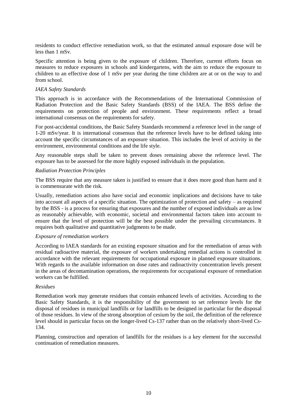residents to conduct effective remediation work, so that the estimated annual exposure dose will be less than 1 mSv.

Specific attention is being given to the exposure of children. Therefore, current efforts focus on measures to reduce exposures in schools and kindergartens, with the aim to reduce the exposure to children to an effective dose of 1 mSv per year during the time children are at or on the way to and from school.

# *IAEA Safety Standards*

This approach is in accordance with the Recommendations of the International Commission of Radiation Protection and the Basic Safety Standards (BSS) of the IAEA. The BSS define the requirements on protection of people and environment. These requirements reflect a broad international consensus on the requirements for safety.

For post-accidental conditions, the Basic Safety Standards recommend a reference level in the range of 1-20 mSv/year. It is international consensus that the reference levels have to be defined taking into account the specific circumstances of an exposure situation. This includes the level of activity in the environment, environmental conditions and the life style.

Any reasonable steps shall be taken to prevent doses remaining above the reference level. The exposure has to be assessed for the more highly exposed individuals in the population.

## *Radiation Protection Principles*

The BSS require that any measure taken is justified to ensure that it does more good than harm and it is commensurate with the risk.

Usually, remediation actions also have social and economic implications and decisions have to take into account all aspects of a specific situation. The optimization of protection and safety – as required by the BSS - is a process for ensuring that exposures and the number of exposed individuals are as low as reasonably achievable, with economic, societal and environmental factors taken into account to ensure that the level of protection will be the best possible under the prevailing circumstances. It requires both qualitative and quantitative judgments to be made.

#### *Exposure of remediation workers*

According to IAEA standards for an existing exposure situation and for the remediation of areas with residual radioactive material, the exposure of workers undertaking remedial actions is controlled in accordance with the relevant requirements for occupational exposure in planned exposure situations. With regards to the available information on dose rates and radioactivity concentration levels present in the areas of decontamination operations, the requirements for occupational exposure of remediation workers can be fulfilled.

#### *Residues*

Remediation work may generate residues that contain enhanced levels of activities. According to the Basic Safety Standards, it is the responsibility of the government to set reference levels for the disposal of residues in municipal landfills or for landfills to be designed in particular for the disposal of those residues. In view of the strong absorption of cesium by the soil, the definition of the reference level should in particular focus on the longer-lived Cs-137 rather than on the relatively short-lived Cs-134.

Planning, construction and operation of landfills for the residues is a key element for the successful continuation of remediation measures.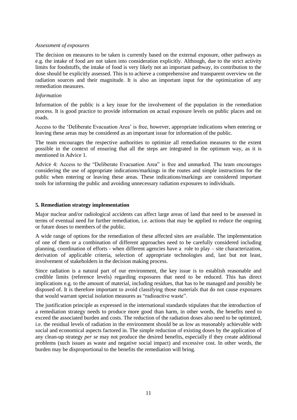## *Assessment of exposures*

The decision on measures to be taken is currently based on the external exposure, other pathways as e.g. the intake of food are not taken into consideration explicitly. Although, due to the strict activity limits for foodstuffs, the intake of food is very likely not an important pathway, its contribution to the dose should be explicitly assessed. This is to achieve a comprehensive and transparent overview on the radiation sources and their magnitude. It is also an important input for the optimization of any remediation measures.

## *Information*

Information of the public is a key issue for the involvement of the population in the remediation process. It is good practice to provide information on actual exposure levels on public places and on roads.

Access to the "Deliberate Evacuation Area" is free, however, appropriate indications when entering or leaving these areas may be considered as an important issue for information of the public.

The team encourages the respective authorities to optimize all remediation measures to the extent possible in the context of ensuring that all the steps are integrated in the optimum way, as it is mentioned in Advice 1.

Advice 4: Access to the "Deliberate Evacuation Area" is free and unmarked. The team encourages considering the use of appropriate indications/markings in the routes and simple instructions for the public when entering or leaving these areas. These indications/markings are considered important tools for informing the public and avoiding unnecessary radiation exposures to individuals.

# **5. Remediation strategy implementation**

Major nuclear and/or radiological accidents can affect large areas of land that need to be assessed in terms of eventual need for further remediation, i.e. actions that may be applied to reduce the ongoing or future doses to members of the public.

A wide range of options for the remediation of these affected sites are available. The implementation of one of them or a combination of different approaches need to be carefully considered including planning, coordination of efforts - when different agencies have a role to play – site characterization, derivation of applicable criteria, selection of appropriate technologies and, last but not least, involvement of stakeholders in the decision making process.

Since radiation is a natural part of our environment, the key issue is to establish reasonable and credible limits (reference levels) regarding exposures that need to be reduced. This has direct implications e.g. to the amount of material, including residues, that has to be managed and possibly be disposed of. It is therefore important to avoid classifying those materials that do not cause exposures that would warrant special isolation measures as "radioactive waste".

The justification principle as expressed in the international standards stipulates that the introduction of a remediation strategy needs to produce more good than harm, in other words, the benefits need to exceed the associated burden and costs. The reduction of the radiation doses also need to be optimized, i.e. the residual levels of radiation in the environment should be as low as reasonably achievable with social and economical aspects factored in. The simple reduction of existing doses by the application of any clean-up strategy *per se* may not produce the desired benefits, especially if they create additional problems (such issues as waste and negative social impact) and excessive cost. In other words, the burden may be disproportional to the benefits the remediation will bring.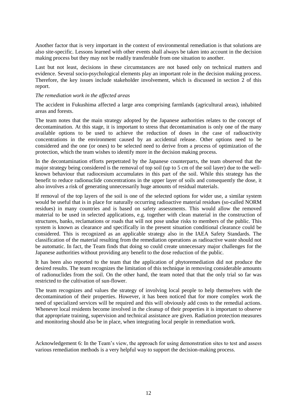Another factor that is very important in the context of environmental remediation is that solutions are also site-specific. Lessons learned with other events shall always be taken into account in the decision making process but they may not be readily transferable from one situation to another.

Last but not least, decisions in these circumstances are not based only on technical matters and evidence. Several socio-psychological elements play an important role in the decision making process. Therefore, the key issues include stakeholder involvement, which is discussed in section 2 of this report.

## *The remediation work in the affected areas*

The accident in Fukushima affected a large area comprising farmlands (agricultural areas), inhabited areas and forests.

The team notes that the main strategy adopted by the Japanese authorities relates to the concept of decontamination. At this stage, it is important to stress that decontamination is only one of the many available options to be used to achieve the reduction of doses in the case of radioactivity concentrations in the environment caused by an accidental release. Other options need to be considered and the one (or ones) to be selected need to derive from a process of optimization of the protection, which the team wishes to identify more in the decision making process.

In the decontamination efforts perpetrated by the Japanese counterparts, the team observed that the major strategy being considered is the removal of top soil (up to 5 cm of the soil layer) due to the wellknown behaviour that radiocesium accumulates in this part of the soil. While this strategy has the benefit to reduce radionuclide concentrations in the upper layer of soils and consequently the dose, it also involves a risk of generating unnecessarily huge amounts of residual materials.

If removal of the top layers of the soil is one of the selected options for wider use, a similar system would be useful that is in place for naturally occurring radioactive material residues (so-called NORM residues) in many countries and is based on safety assessments. This would allow the removed material to be used in selected applications, e.g. together with clean material in the construction of structures, banks, reclamations or roads that will not pose undue risks to members of the public. This system is known as clearance and specifically in the present situation conditional clearance could be considered. This is recognized as an applicable strategy also in the IAEA Safety Standards. The classification of the material resulting from the remediation operations as radioactive waste should not be automatic. In fact, the Team finds that doing so could create unnecessary major challenges for the Japanese authorities without providing any benefit to the dose reduction of the public.

It has been also reported to the team that the application of phytoremediation did not produce the desired results. The team recognizes the limitation of this technique in removing considerable amounts of radionuclides from the soil. On the other hand, the team noted that that the only trial so far was restricted to the cultivation of sun-flower.

The team recognizes and values the strategy of involving local people to help themselves with the decontamination of their properties. However, it has been noticed that for more complex work the need of specialized services will be required and this will obviously add costs to the remedial actions. Whenever local residents become involved in the cleanup of their properties it is important to observe that appropriate training, supervision and technical assistance are given. Radiation protection measures and monitoring should also be in place, when integrating local people in remediation work.

Acknowledgement 6: In the Team"s view, the approach for using demonstration sites to test and assess various remediation methods is a very helpful way to support the decision-making process.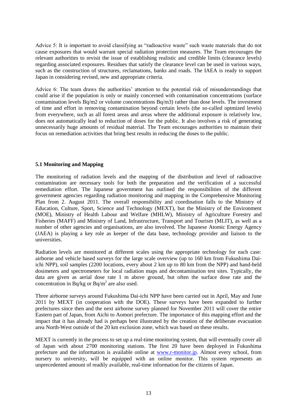Advice 5: It is important to avoid classifying as "radioactive waste" such waste materials that do not cause exposures that would warrant special radiation protection measures. The Team encourages the relevant authorities to revisit the issue of establishing realistic and credible limits (clearance levels) regarding associated exposures. Residues that satisfy the clearance level can be used in various ways, such as the construction of structures, reclamations, banks and roads. The IAEA is ready to support Japan in considering revised, new and appropriate criteria.

Advice 6: The team draws the authorities" attention to the potential risk of misunderstandings that could arise if the population is only or mainly concerned with contamination concentrations (surface contamination levels Bq/m2 or volume concentrations Bq/m3) rather than dose levels. The investment of time and effort in removing contamination beyond certain levels (the so-called optmized levels) from everywhere, such as all forest areas and areas where the additional exposure is relatively low, does not automatically lead to reduction of doses for the public. It also involves a risk of generating unnecessarily huge amounts of residual material. The Team encourages authorities to maintain their focus on remediation activities that bring best results in reducing the doses to the public.

# **5.1 Monitoring and Mapping**

The monitoring of radiation levels and the mapping of the distribution and level of radioactive contamination are necessary tools for both the preparation and the verification of a successful remediation effort. The Japanese government has outlined the responsibilities of the different government agencies regarding radiation monitoring and mapping in the Comprehensive Monitoring Plan from 2. August 2011. The overall responsibility and coordination falls to the Ministry of Education, Culture, Sport, Science and Technology (MEXT), but the Ministry of the Environment (MOE), Ministry of Health Labour and Welfare (MHLW), Ministry of Agriculture Forestry and Fisheries (MAFF) and Ministry of Land, Infrastructure, Transport and Tourism (MLIT), as well as a number of other agencies and organisations, are also involved. The Japanese Atomic Energy Agency (JAEA) is playing a key role as keeper of the data base, technology provider and liaison to the universities.

Radiation levels are monitored at different scales using the appropriate technology for each case: airborne and vehicle based surveys for the large scale overview (up to 160 km from Fukushima Daiichi NPP), soil samples (2200 locations, every about 2 km up to 80 km from the NPP) and hand-held dosimeters and spectrometers for local radiation maps and decontamination test sites. Typically, the data are given as aerial dose rate 1 m above ground, but often the surface dose rate and the concentration in Bq/kg or Bq/m<sup>2</sup> are also used.

Three airborne surveys around Fukushima Dai-ichi NPP have been carried out in April, May and June 2011 by MEXT (in cooperation with the DOE). These surveys have been expanded to further prefectures since then and the next airborne survey planned for November 2011 will cover the entire Eastern part of Japan, from Aichi to Aomori prefecture. The importance of this mapping effort and the impact that it has already had is perhaps best illustrated by the creation of the deliberate evacuation area North-West outside of the 20 km exclusion zone, which was based on these results.

MEXT is currently in the process to set up a real-time monitoring system, that will eventually cover all of Japan with about 2700 monitoring stations. The first 20 have been deployed in Fukushima prefecture and the information is available online at [www.r-monitor.jp.](http://www.r-monitor.jp/) Almost every school, from nursery to university, will be equipped with an online monitor. This system represents an unprecedented amount of readily available, real-time information for the citizens of Japan.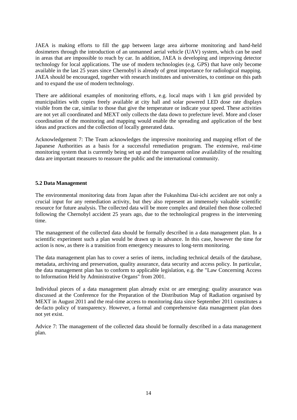JAEA is making efforts to fill the gap between large area airborne monitoring and hand-held dosimeters through the introduction of an unmanned aerial vehicle (UAV) system, which can be used in areas that are impossible to reach by car. In addition, JAEA is developing and improving detector technology for local applications. The use of modern technologies (e.g. GPS) that have only become available in the last 25 years since Chernobyl is already of great importance for radiological mapping. JAEA should be encouraged, together with research institutes and universities, to continue on this path and to expand the use of modern technology.

There are additional examples of monitoring efforts, e.g. local maps with 1 km grid provided by municipalities with copies freely available at city hall and solar powered LED dose rate displays visible from the car, similar to those that give the temperature or indicate your speed. These activities are not yet all coordinated and MEXT only collects the data down to prefecture level. More and closer coordination of the monitoring and mapping would enable the spreading and application of the best ideas and practices and the collection of locally generated data.

Acknowledgement 7: The Team acknowledges the impressive monitoring and mapping effort of the Japanese Authorities as a basis for a successful remediation program. The extensive, real-time monitoring system that is currently being set up and the transparent online availability of the resulting data are important measures to reassure the public and the international community.

# **5.2 Data Management**

The environmental monitoring data from Japan after the Fukushima Dai-ichi accident are not only a crucial input for any remediation activity, but they also represent an immensely valuable scientific resource for future analysis. The collected data will be more complex and detailed then those collected following the Chernobyl accident 25 years ago, due to the technological progress in the intervening time.

The management of the collected data should be formally described in a data management plan. In a scientific experiment such a plan would be drawn up in advance. In this case, however the time for action is now, as there is a transition from emergency measures to long-term monitoring.

The data management plan has to cover a series of items, including technical details of the database, metadata, archiving and preservation, quality assurance, data security and access policy. In particular, the data management plan has to conform to applicable legislation, e.g. the "Law Concerning Access to Information Held by Administrative Organs" from 2001.

Individual pieces of a data management plan already exist or are emerging: quality assurance was discussed at the Conference for the Preparation of the Distribution Map of Radiation organised by MEXT in August 2011 and the real-time access to monitoring data since September 2011 constitutes a de-facto policy of transparency. However, a formal and comprehensive data management plan does not yet exist.

Advice 7: The management of the collected data should be formally described in a data management plan.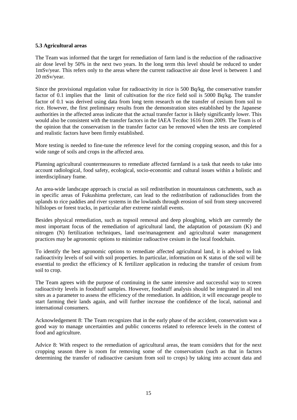# **5.3 Agricultural areas**

The Team was informed that the target for remediation of farm land is the reduction of the radioactive air dose level by 50% in the next two years. In the long term this level should be reduced to under 1mSv/year. This refers only to the areas where the current radioactive air dose level is between 1 and 20 mSv/year.

Since the provisional regulation value for radioactivity in rice is 500 Bq/kg, the conservative transfer factor of 0.1 implies that the limit of cultivation for the rice field soil is 5000 Bq/kg. The transfer factor of 0.1 was derived using data from long term research on the transfer of cesium from soil to rice. However, the first preliminary results from the demonstration sites established by the Japanese authorities in the affected areas indicate that the actual transfer factor is likely significantly lower. This would also be consistent with the transfer factors in the IAEA Tecdoc 1616 from 2009. The Team is of the opinion that the conservatism in the transfer factor can be removed when the tests are completed and realistic factors have been firmly established.

More testing is needed to fine-tune the reference level for the coming cropping season, and this for a wide range of soils and crops in the affected area.

Planning agricultural countermeasures to remediate affected farmland is a task that needs to take into account radiological, food safety, ecological, socio-economic and cultural issues within a holistic and interdisciplinary frame.

An area-wide landscape approach is crucial as soil redistribution in mountainous catchments, such as in specific areas of Fukushima prefecture, can lead to the redistribution of radionuclides from the uplands to rice paddies and river systems in the lowlands through erosion of soil from steep uncovered hillslopes or forest tracks, in particular after extreme rainfall events.

Besides physical remediation, such as topsoil removal and deep ploughing, which are currently the most important focus of the remediation of agricultural land, the adaptation of potassium (K) and nitrogen (N) fertilization techniques, land use/management and agricultural water management practices may be agronomic options to minimize radioactive cesium in the local foodchain.

To identify the best agronomic options to remediate affected agricultural land, it is advised to link radioactivity levels of soil with soil properties. In particular, information on K status of the soil will be essential to predict the efficiency of K fertilizer application in reducing the transfer of cesium from soil to crop.

The Team agrees with the purpose of continuing in the same intensive and successful way to screen radioactivity levels in foodstuff samples. However, foodstuff analysis should be integrated in all test sites as a parameter to assess the efficiency of the remediation. In addition, it will encourage people to start farming their lands again, and will further increase the confidence of the local, national and international consumers.

Acknowledgement 8: The Team recognizes that in the early phase of the accident, conservatism was a good way to manage uncertainties and public concerns related to reference levels in the context of food and agriculture.

Advice 8: With respect to the remediation of agricultural areas, the team considers that for the next cropping season there is room for removing some of the conservatism (such as that in factors determining the transfer of radioactive caesium from soil to crops) by taking into account data and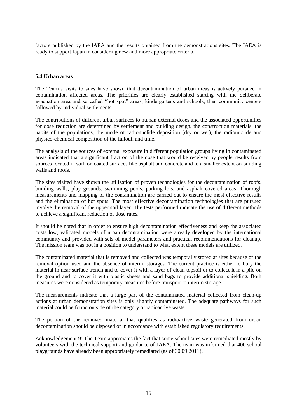factors published by the IAEA and the results obtained from the demonstrations sites. The IAEA is ready to support Japan in considering new and more appropriate criteria.

# **5.4 Urban areas**

The Team"s visits to sites have shown that decontamination of urban areas is actively pursued in contamination affected areas. The priorities are clearly established starting with the deliberate evacuation area and so called "hot spot" areas, kindergartens and schools, then community centers followed by individual settlements.

The contributions of different urban surfaces to human external doses and the associated opportunities for dose reduction are determined by settlement and building design, the construction materials, the habits of the populations, the mode of radionuclide deposition (dry or wet), the radionuclide and physico-chemical composition of the fallout, and time.

The analysis of the sources of external exposure in different population groups living in contaminated areas indicated that a significant fraction of the dose that would be received by people results from sources located in soil, on coated surfaces like asphalt and concrete and to a smaller extent on building walls and roofs.

The sites visited have shown the utilization of proven technologies for the decontamination of roofs, building walls, play grounds, swimming pools, parking lots, and asphalt covered areas. Thorough measurements and mapping of the contamination are carried out to ensure the most effective results and the elimination of hot spots. The most effective decontamination technologies that are pursued involve the removal of the upper soil layer. The tests performed indicate the use of different methods to achieve a significant reduction of dose rates.

It should be noted that in order to ensure high decontamination effectiveness and keep the associated costs low, validated models of urban decontamination were already developed by the international community and provided with sets of model parameters and practical recommendations for cleanup. The mission team was not in a position to understand to what extent these models are utilized.

The contaminated material that is removed and collected was temporally stored at sites because of the removal option used and the absence of interim storages. The current practice is either to bury the material in near surface trench and to cover it with a layer of clean topsoil or to collect it in a pile on the ground and to cover it with plastic sheets and sand bags to provide additional shielding. Both measures were considered as temporary measures before transport to interim storage.

The measurements indicate that a large part of the contaminated material collected from clean-up actions at urban demonstration sites is only slightly contaminated. The adequate pathways for such material could be found outside of the category of radioactive waste.

The portion of the removed material that qualifies as radioactive waste generated from urban decontamination should be disposed of in accordance with established regulatory requirements.

Acknowledgement 9: The Team appreciates the fact that some school sites were remediated mostly by volunteers with the technical support and guidance of JAEA. The team was informed that 400 school playgrounds have already been appropriately remediated (as of 30.09.2011).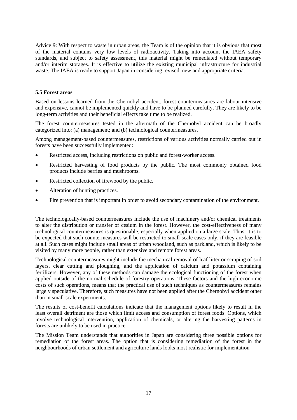Advice 9: With respect to waste in urban areas, the Team is of the opinion that it is obvious that most of the material contains very low levels of radioactivity. Taking into account the IAEA safety standards, and subject to safety assessment, this material might be remediated without temporary and/or interim storages. It is effective to utilize the existing municipal infrastructure for industrial waste. The IAEA is ready to support Japan in considering revised, new and appropriate criteria.

# **5.5 Forest areas**

Based on lessons learned from the Chernobyl accident, forest countermeasures are labour-intensive and expensive, cannot be implemented quickly and have to be planned carefully. They are likely to be long-term activities and their beneficial effects take time to be realized.

The forest countermeasures tested in the aftermath of the Chernobyl accident can be broadly categorized into: (a) management; and (b) technological countermeasures.

Among management-based countermeasures, restrictions of various activities normally carried out in forests have been successfully implemented:

- Restricted access, including restrictions on public and forest-worker access.
- Restricted harvesting of food products by the public. The most commonly obtained food products include berries and mushrooms.
- Restricted collection of firewood by the public.
- Alteration of hunting practices.
- Fire prevention that is important in order to avoid secondary contamination of the environment.

The technologically-based countermeasures include the use of machinery and/or chemical treatments to alter the distribution or transfer of cesium in the forest. However, the cost-effectiveness of many technological countermeasures is questionable, especially when applied on a large scale. Thus, it is to be expected that such countermeasures will be restricted to small-scale cases only, if they are feasible at all. Such cases might include small areas of urban woodland, such as parkland, which is likely to be visited by many more people, rather than extensive and remote forest areas.

Technological countermeasures might include the mechanical removal of leaf litter or scraping of soil layers, clear cutting and ploughing, and the application of calcium and potassium containing fertilizers. However, any of these methods can damage the ecological functioning of the forest when applied outside of the normal schedule of forestry operations. These factors and the high economic costs of such operations, means that the practical use of such techniques as countermeasures remains largely speculative. Therefore, such measures have not been applied after the Chernobyl accident other than in small-scale experiments.

The results of cost-benefit calculations indicate that the management options likely to result in the least overall detriment are those which limit access and consumption of forest foods. Options, which involve technological intervention, application of chemicals, or altering the harvesting patterns in forests are unlikely to be used in practice.

The Mission Team understands that authorities in Japan are considering three possible options for remediation of the forest areas. The option that is considering remediation of the forest in the neighbourhoods of urban settlement and agriculture lands looks most realistic for implementation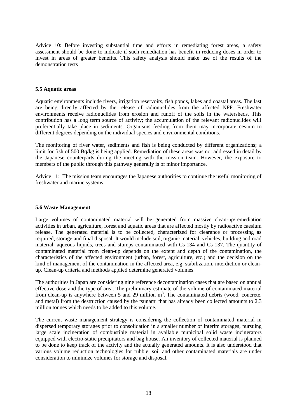Advice 10: Before investing substantial time and efforts in remediating forest areas, a safety assessment should be done to indicate if such remediation has benefit in reducing doses in order to invest in areas of greater benefits. This safety analysis should make use of the results of the demonstration tests

## **5.5 Aquatic areas**

Aquatic environments include rivers, irrigation reservoirs, fish ponds, lakes and coastal areas. The last are being directly affected by the release of radionuclides from the affected NPP. Freshwater environments receive radionuclides from erosion and runoff of the soils in the watersheds. This contribution has a long term source of activity; the accumulation of the relevant radionuclides will preferentially take place in sediments. Organisms feeding from them may incorporate cesium to different degrees depending on the individual species and environmental conditions.

The monitoring of river water, sediments and fish is being conducted by different organizations; a limit for fish of 500 Bq/kg is being applied. Remediation of these areas was not addressed in detail by the Japanese counterparts during the meeting with the mission team. However, the exposure to members of the public through this pathway generally is of minor importance.

Advice 11: The mission team encourages the Japanese authorities to continue the useful monitoring of freshwater and marine systems.

#### **5.6 Waste Management**

Large volumes of contaminated material will be generated from massive clean-up/remediation activities in urban, agriculture, forest and aquatic areas that are affected mostly by radioactive caesium release. The generated material is to be collected, characterized for clearance or processing as required, storage and final disposal. It would include soil, organic material, vehicles, building and road material, aqueous liquids, trees and stumps contaminated with Cs-134 and Cs-137. The quantity of contaminated material from clean-up depends on the extent and depth of the contamination, the characteristics of the affected environment (urban, forest, agriculture, etc.) and the decision on the kind of management of the contamination in the affected area, e.g. stabilization, interdiction or cleanup. Clean-up criteria and methods applied determine generated volumes.

The authorities in Japan are considering nine reference decontamination cases that are based on annual effective dose and the type of area. The preliminary estimate of the volume of contaminated material from clean-up is anywhere between 5 and 29 million  $m<sup>3</sup>$ . The contaminated debris (wood, concrete, and metal) from the destruction caused by the tsunami that has already been collected amounts to 2.3 million tonnes which needs to be added to this volume.

The current waste management strategy is considering the collection of contaminated material in dispersed temporary storages prior to consolidation in a smaller number of interim storages, pursuing large scale incineration of combustible material in available municipal solid waste incinerators equipped with electro-static precipitators and bag house. An inventory of collected material is planned to be done to keep track of the activity and the actually generated amounts. It is also understood that various volume reduction technologies for rubble, soil and other contaminated materials are under consideration to minimize volumes for storage and disposal.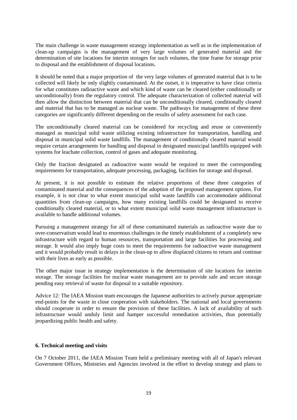The main challenge in waste management strategy implementation as well as in the implementation of clean-up campaigns is the management of very large volumes of generated material and the determination of site locations for interim storages for such volumes, the time frame for storage prior to disposal and the establishment of disposal locations.

It should be noted that a major proportion of the very large volumes of generated material that is to be collected will likely be only slightly contaminated. At the outset, it is imperative to have clear criteria for what constitutes radioactive waste and which kind of waste can be cleared (either conditionally or unconditionally) from the regulatory control. The adequate characterization of collected material will then allow the distinction between material that can be unconditionally cleared, conditionally cleared and material that has to be managed as nuclear waste. The pathways for management of these three categories are significantly different depending on the results of safety assessment for each case.

The unconditionally cleared material can be considered for recycling and reuse or conveniently managed as municipal solid waste utilizing existing infrastructure for transportation, handling and disposal in municipal solid waste landfills. The management of conditionally cleared material would require certain arrangements for handling and disposal in designated municipal landfills equipped with systems for leachate collection, control of gases and adequate monitoring.

Only the fraction designated as radioactive waste would be required to meet the corresponding requirements for transportation, adequate processing, packaging, facilities for storage and disposal.

At present, it is not possible to estimate the relative proportions of these three categories of contaminated material and the consequences of the adoption of the proposed management options. For example, it is not clear to what extent municipal solid waste landfills can accommodate additional quantities from clean-up campaigns, how many existing landfills could be designated to receive conditionally cleared material, or to what extent municipal solid waste management infrastructure is available to handle additional volumes.

Pursuing a management strategy for all of these contaminated materials as radioactive waste due to over-conservatism would lead to enormous challenges in the timely establishment of a completely new infrastructure with regard to human resources, transportation and large facilities for processing and storage. It would also imply huge costs to meet the requirements for radioactive waste management and it would probably result in delays in the clean-up to allow displaced citizens to return and continue with their lives as early as possible.

The other major issue in strategy implementation is the determination of site locations for interim storage. The storage facilities for nuclear waste management are to provide safe and secure storage pending easy retrieval of waste for disposal to a suitable repository.

Advice 12: The IAEA Mission team encourages the Japanese authorities to actively pursue appropriate end-points for the waste in close cooperation with stakeholders. The national and local governments should cooperate in order to ensure the provision of these facilities. A lack of availability of such infrastructure would unduly limit and hamper successful remediation activities, thus potentially jeopardizing public health and safety.

# **6. Technical meeting and visits**

On 7 October 2011, the IAEA Mission Team held a preliminary meeting with all of Japan's relevant Government Offices, Ministries and Agencies involved in the effort to develop strategy and plans to